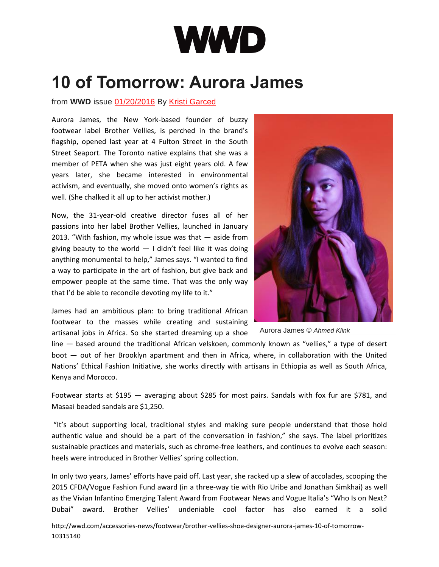

## **10 of Tomorrow: Aurora James**

## from WWD issue [01/20/2016](http://wwd.com/wwd-publications/wwd/2016-01-20-10320573/) By Kristi [Garced](http://wwd.com/wwd-masthead/kristi-garced/)

Aurora James, the New York-based founder of buzzy footwear label Brother Vellies, is perched in the brand's flagship, opened last year at 4 Fulton Street in the South Street Seaport. The Toronto native explains that she was a member of PETA when she was just eight years old. A few years later, she became interested in environmental activism, and eventually, she moved onto women's rights as well. (She chalked it all up to her activist mother.)

Now, the 31-year-old creative director fuses all of her passions into her label Brother Vellies, launched in January 2013. "With fashion, my whole issue was that — aside from giving beauty to the world  $-1$  didn't feel like it was doing anything monumental to help," James says. "I wanted to find a way to participate in the art of fashion, but give back and empower people at the same time. That was the only way that I'd be able to reconcile devoting my life to it."

James had an ambitious plan: to bring traditional African footwear to the masses while creating and sustaining artisanal jobs in Africa. So she started dreaming up a shoe

Aurora James © *Ahmed Klink*

line — based around the traditional African velskoen, commonly known as "vellies," a type of desert boot — out of her Brooklyn apartment and then in Africa, where, in collaboration with the United Nations' Ethical Fashion Initiative, she works directly with artisans in Ethiopia as well as South Africa, Kenya and Morocco.

Footwear starts at \$195 — averaging about \$285 for most pairs. Sandals with fox fur are \$781, and Masaai beaded sandals are \$1,250.

"It's about supporting local, traditional styles and making sure people understand that those hold authentic value and should be a part of the conversation in fashion," she says. The label prioritizes sustainable practices and materials, such as chrome-free leathers, and continues to evolve each season: heels were introduced in Brother Vellies' spring collection.

In only two years, James' efforts have paid off. Last year, she racked up a slew of accolades, scooping the 2015 CFDA/Vogue Fashion Fund award (in a three-way tie with Rio Uribe and Jonathan Simkhai) as well as the Vivian Infantino Emerging Talent Award from Footwear News and Vogue Italia's "Who Is on Next? Dubai" award. Brother Vellies' undeniable cool factor has also earned it a solid

[http://wwd.com/accessories-news/footwear/brother-vellies-shoe-designer-aurora-james-10-of-tomorrow-](http://wwd.com/accessories-news/footwear/brother-vellies-shoe-designer-aurora-james-10-of-tomorrow-10315140/)[10315140](http://wwd.com/accessories-news/footwear/brother-vellies-shoe-designer-aurora-james-10-of-tomorrow-10315140/)